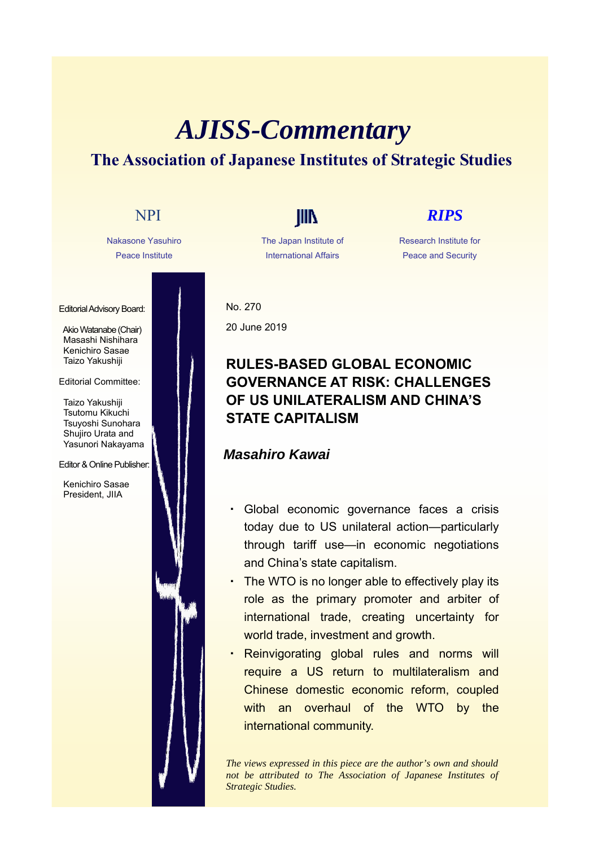# *AJISS-Commentary* **The Association of Japanese Institutes of Strategic Studies**

Nakasone Yasuhiro Peace Institute

Editorial Advisory Board:

Akio Watanabe (Chair) Masashi Nishihara Kenichiro Sasae Taizo Yakushiji

### Editorial Committee:

Taizo Yakushiji Tsutomu Kikuchi Tsuyoshi Sunohara Shujiro Urata and Yasunori Nakayama

### Editor & Online Publisher:

Kenichiro Sasae President, JIIA

The Japan Institute of International Affairs

# NPI **IIII** *RIPS*

Research Institute for Peace and Security

No. 270 20 June 2019

## **RULES-BASED GLOBAL ECONOMIC GOVERNANCE AT RISK: CHALLENGES OF US UNILATERALISM AND CHINA'S STATE CAPITALISM**

### *Masahiro Kawai*

- ・ Global economic governance faces a crisis today due to US unilateral action—particularly through tariff use—in economic negotiations and China's state capitalism.
- ・ The WTO is no longer able to effectively play its role as the primary promoter and arbiter of international trade, creating uncertainty for world trade, investment and growth.
- Reinvigorating global rules and norms will require a US return to multilateralism and Chinese domestic economic reform, coupled with an overhaul of the WTO by the international community.

*The views expressed in this piece are the author's own and should not be attributed to The Association of Japanese Institutes of Strategic Studies.*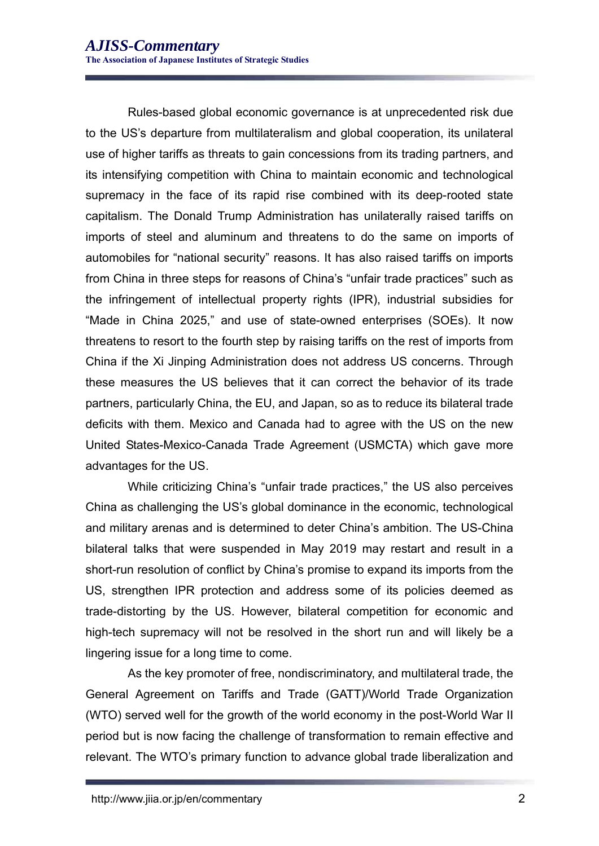Rules-based global economic governance is at unprecedented risk due to the US's departure from multilateralism and global cooperation, its unilateral use of higher tariffs as threats to gain concessions from its trading partners, and its intensifying competition with China to maintain economic and technological supremacy in the face of its rapid rise combined with its deep-rooted state capitalism. The Donald Trump Administration has unilaterally raised tariffs on imports of steel and aluminum and threatens to do the same on imports of automobiles for "national security" reasons. It has also raised tariffs on imports from China in three steps for reasons of China's "unfair trade practices" such as the infringement of intellectual property rights (IPR), industrial subsidies for "Made in China 2025," and use of state-owned enterprises (SOEs). It now threatens to resort to the fourth step by raising tariffs on the rest of imports from China if the Xi Jinping Administration does not address US concerns. Through these measures the US believes that it can correct the behavior of its trade partners, particularly China, the EU, and Japan, so as to reduce its bilateral trade deficits with them. Mexico and Canada had to agree with the US on the new United States-Mexico-Canada Trade Agreement (USMCTA) which gave more advantages for the US.

While criticizing China's "unfair trade practices," the US also perceives China as challenging the US's global dominance in the economic, technological and military arenas and is determined to deter China's ambition. The US-China bilateral talks that were suspended in May 2019 may restart and result in a short-run resolution of conflict by China's promise to expand its imports from the US, strengthen IPR protection and address some of its policies deemed as trade-distorting by the US. However, bilateral competition for economic and high-tech supremacy will not be resolved in the short run and will likely be a lingering issue for a long time to come.

As the key promoter of free, nondiscriminatory, and multilateral trade, the General Agreement on Tariffs and Trade (GATT)/World Trade Organization (WTO) served well for the growth of the world economy in the post-World War II period but is now facing the challenge of transformation to remain effective and relevant. The WTO's primary function to advance global trade liberalization and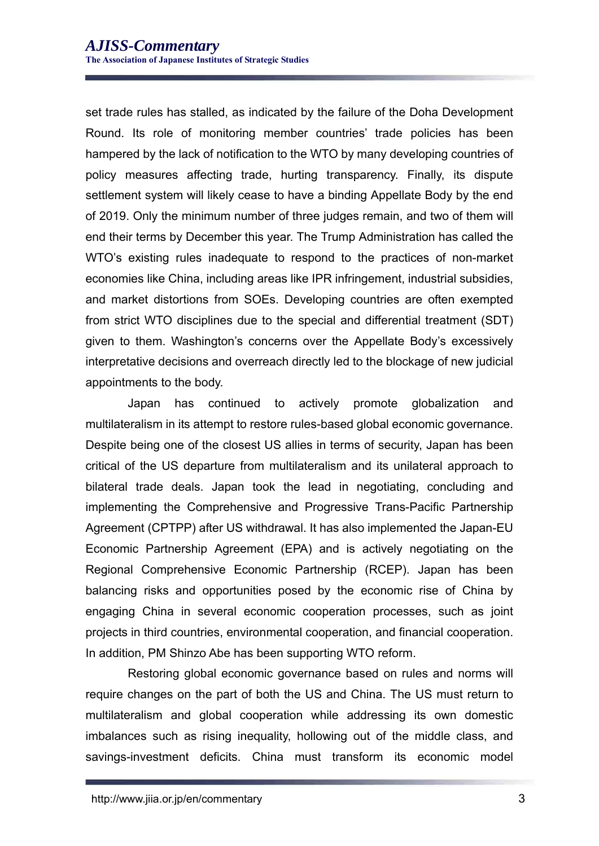set trade rules has stalled, as indicated by the failure of the Doha Development Round. Its role of monitoring member countries' trade policies has been hampered by the lack of notification to the WTO by many developing countries of policy measures affecting trade, hurting transparency. Finally, its dispute settlement system will likely cease to have a binding Appellate Body by the end of 2019. Only the minimum number of three judges remain, and two of them will end their terms by December this year. The Trump Administration has called the WTO's existing rules inadequate to respond to the practices of non-market economies like China, including areas like IPR infringement, industrial subsidies, and market distortions from SOEs. Developing countries are often exempted from strict WTO disciplines due to the special and differential treatment (SDT) given to them. Washington's concerns over the Appellate Body's excessively interpretative decisions and overreach directly led to the blockage of new judicial appointments to the body.

Japan has continued to actively promote globalization and multilateralism in its attempt to restore rules-based global economic governance. Despite being one of the closest US allies in terms of security, Japan has been critical of the US departure from multilateralism and its unilateral approach to bilateral trade deals. Japan took the lead in negotiating, concluding and implementing the Comprehensive and Progressive Trans-Pacific Partnership Agreement (CPTPP) after US withdrawal. It has also implemented the Japan-EU Economic Partnership Agreement (EPA) and is actively negotiating on the Regional Comprehensive Economic Partnership (RCEP). Japan has been balancing risks and opportunities posed by the economic rise of China by engaging China in several economic cooperation processes, such as joint projects in third countries, environmental cooperation, and financial cooperation. In addition, PM Shinzo Abe has been supporting WTO reform.

Restoring global economic governance based on rules and norms will require changes on the part of both the US and China. The US must return to multilateralism and global cooperation while addressing its own domestic imbalances such as rising inequality, hollowing out of the middle class, and savings-investment deficits. China must transform its economic model